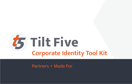

Partners + Made For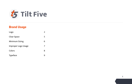

### Brand Usage

| Logo                  | $\mathcal{L}$ |
|-----------------------|---------------|
| <b>Clear Space</b>    | 5             |
| <b>Minimum Sizing</b> | 6             |
| Improper Logo Usage   | 7             |
| Colors                | 8             |
| <b>Typeface</b>       |               |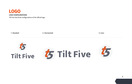<span id="page-2-0"></span>

Tilt Five has three configurations of the official logo:

1. Stacked 2. Horizontal 3. Icon

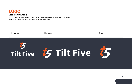

#### **LOGO CONFIGURATIONS**

In a situation where an inverse version is required, please use these versions of the logo. Take care to only use official logo files provided by Tilt Five.



# $\frac{t}{5}$  Tilt Five  $\frac{t}{5}$  Tilt Five  $t_{5}$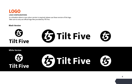

#### **LOGO CONFIGURATIONS**

In a situation where a one colour version is required, please use these version of the logo. Take care to only use official logo files provided by Tilt Five.

#### **Black Version**



**White Version**



**4**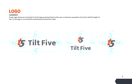### <span id="page-5-0"></span>LOGO

#### **CLEARANCE**

Proper logo clearance is essential to let the logo properly breath and be seen. A clearance equivalent of, at least, half the height of the 5 in the logo or icon should be maintained around all four sides.

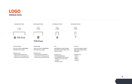<span id="page-6-0"></span>

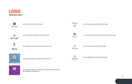<span id="page-7-0"></span>



Do not place the logo on a background colour which compromises the legibility of the signature

### **Tilt Five t5**

Do not rearrange the elements of the logo



Do not alter the proportions of elements within the logo

**あ Tilt Five** 

Do not remove elements from the logo

**t5** 

**STUDIOS**

**Tilt Five** 

Do not add words or elements to the logo

**7**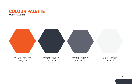<span id="page-8-0"></span>

**PALETTE BREAKDOWN**



C: 0% M: 80% Y: 100% K: 0% Pantone: 158 C R: 241 G: 89 B: 34 HEX: f15922

C: 78% M: 69% Y: 51% K: 48% Pantone: 432 C R: 50 G: 54 B: 67 HEX: 323643

C: 65% M: 55% Y: 43% K: 17% Pantone: 430 C R: 96 G: 100 B: 112 HEX: 606470

C: 2% M: 1% Y: 1% K: 0% Pantone: Cool Grey 1 C R: 50 G: 54 B: 67 Hex: F7F7F7